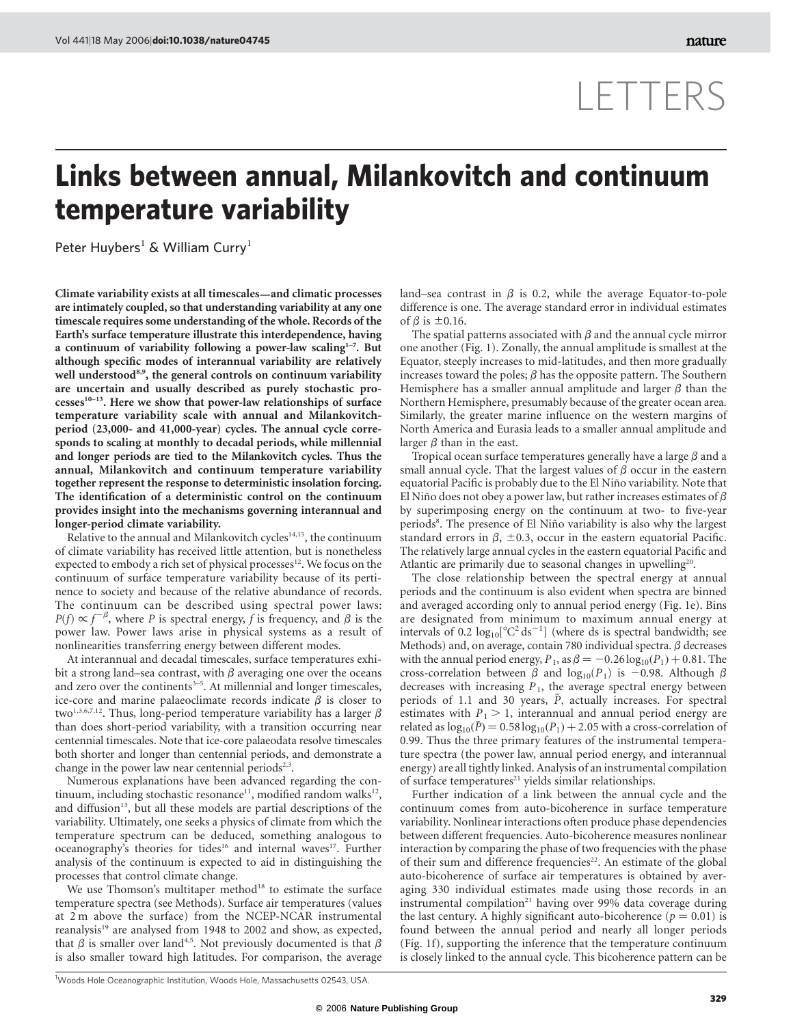## LETTERS

## Links between annual, Milankovitch and continuum temperature variability

Peter Huybers<sup>1</sup> & William Curry<sup>1</sup>

Climate variability exists at all timescales—and climatic processes are intimately coupled, so that understanding variability at any one timescale requires some understanding of the whole. Records of the Earth's surface temperature illustrate this interdependence, having a continuum of variability following a power-law scaling $1-7$ . But although specific modes of interannual variability are relatively well understood<sup>8,9</sup>, the general controls on continuum variability are uncertain and usually described as purely stochastic pro $cesses<sup>10–13</sup>$ . Here we show that power-law relationships of surface temperature variability scale with annual and Milankovitchperiod (23,000- and 41,000-year) cycles. The annual cycle corresponds to scaling at monthly to decadal periods, while millennial and longer periods are tied to the Milankovitch cycles. Thus the annual, Milankovitch and continuum temperature variability together represent the response to deterministic insolation forcing. The identification of a deterministic control on the continuum provides insight into the mechanisms governing interannual and longer-period climate variability.

Relative to the annual and Milankovitch cycles<sup>14,15</sup>, the continuum of climate variability has received little attention, but is nonetheless expected to embody a rich set of physical processes<sup>12</sup>. We focus on the continuum of surface temperature variability because of its pertinence to society and because of the relative abundance of records. The continuum can be described using spectral power laws:  $P(f) \propto f^{-\beta}$ , where P is spectral energy, f is frequency, and  $\beta$  is the power law. Power laws arise in physical systems as a result of nonlinearities transferring energy between different modes.

At interannual and decadal timescales, surface temperatures exhibit a strong land–sea contrast, with  $\beta$  averaging one over the oceans and zero over the continents $3-5$ . At millennial and longer timescales, ice-core and marine palaeoclimate records indicate  $\beta$  is closer to two<sup>1,3,6,7,12</sup>. Thus, long-period temperature variability has a larger  $\beta$ than does short-period variability, with a transition occurring near centennial timescales. Note that ice-core palaeodata resolve timescales both shorter and longer than centennial periods, and demonstrate a change in the power law near centennial periods<sup>2,3</sup>.

Numerous explanations have been advanced regarding the continuum, including stochastic resonance<sup>11</sup>, modified random walks<sup>12</sup>, and diffusion<sup>13</sup>, but all these models are partial descriptions of the variability. Ultimately, one seeks a physics of climate from which the temperature spectrum can be deduced, something analogous to oceanography's theories for tides<sup>16</sup> and internal waves<sup>17</sup>. Further analysis of the continuum is expected to aid in distinguishing the processes that control climate change.

We use Thomson's multitaper method<sup>18</sup> to estimate the surface temperature spectra (see Methods). Surface air temperatures (values at 2 m above the surface) from the NCEP-NCAR instrumental reanalysis<sup>19</sup> are analysed from 1948 to 2002 and show, as expected, that  $\beta$  is smaller over land<sup>4,5</sup>. Not previously documented is that  $\beta$ is also smaller toward high latitudes. For comparison, the average

land–sea contrast in  $\beta$  is 0.2, while the average Equator-to-pole difference is one. The average standard error in individual estimates of  $\beta$  is  $\pm 0.16$ .

The spatial patterns associated with  $\beta$  and the annual cycle mirror one another (Fig. 1). Zonally, the annual amplitude is smallest at the Equator, steeply increases to mid-latitudes, and then more gradually increases toward the poles;  $\beta$  has the opposite pattern. The Southern Hemisphere has a smaller annual amplitude and larger  $\beta$  than the Northern Hemisphere, presumably because of the greater ocean area. Similarly, the greater marine influence on the western margins of North America and Eurasia leads to a smaller annual amplitude and larger  $\beta$  than in the east.

Tropical ocean surface temperatures generally have a large  $\beta$  and a small annual cycle. That the largest values of  $\beta$  occur in the eastern equatorial Pacific is probably due to the El Niño variability. Note that El Niño does not obey a power law, but rather increases estimates of  $\beta$ by superimposing energy on the continuum at two- to five-year periods<sup>8</sup>. The presence of El Niño variability is also why the largest standard errors in  $\beta$ ,  $\pm$ 0.3, occur in the eastern equatorial Pacific. The relatively large annual cycles in the eastern equatorial Pacific and Atlantic are primarily due to seasonal changes in upwelling<sup>20</sup>.

The close relationship between the spectral energy at annual periods and the continuum is also evident when spectra are binned and averaged according only to annual period energy (Fig. 1e). Bins are designated from minimum to maximum annual energy at intervals of 0.2  $log_{10}[^{\circ}C^{2}ds^{-1}]$  (where ds is spectral bandwidth; see Methods) and, on average, contain 780 individual spectra.  $\beta$  decreases with the annual period energy,  $P_1$ , as  $\beta = -0.26 \log_{10}(P_1) + 0.81$ . The cross-correlation between  $\beta$  and  $\log_{10}(P_1)$  is -0.98. Although  $\beta$ decreases with increasing  $P_1$ , the average spectral energy between periods of 1.1 and 30 years,  $\bar{P}$ , actually increases. For spectral estimates with  $P_1 > 1$ , interannual and annual period energy are related as  $log_{10}(\bar{P}) = 0.58 log_{10}(P_1) + 2.05$  with a cross-correlation of 0.99. Thus the three primary features of the instrumental temperature spectra (the power law, annual period energy, and interannual energy) are all tightly linked. Analysis of an instrumental compilation of surface temperatures $^{21}$  yields similar relationships.

Further indication of a link between the annual cycle and the continuum comes from auto-bicoherence in surface temperature variability. Nonlinear interactions often produce phase dependencies between different frequencies. Auto-bicoherence measures nonlinear interaction by comparing the phase of two frequencies with the phase of their sum and difference frequencies<sup>22</sup>. An estimate of the global auto-bicoherence of surface air temperatures is obtained by averaging 330 individual estimates made using those records in an instrumental compilation<sup>21</sup> having over 99% data coverage during the last century. A highly significant auto-bicoherence ( $p = 0.01$ ) is found between the annual period and nearly all longer periods (Fig. 1f), supporting the inference that the temperature continuum is closely linked to the annual cycle. This bicoherence pattern can be

<sup>&</sup>lt;sup>1</sup>Woods Hole Oceanographic Institution, Woods Hole, Massachusetts 02543, USA.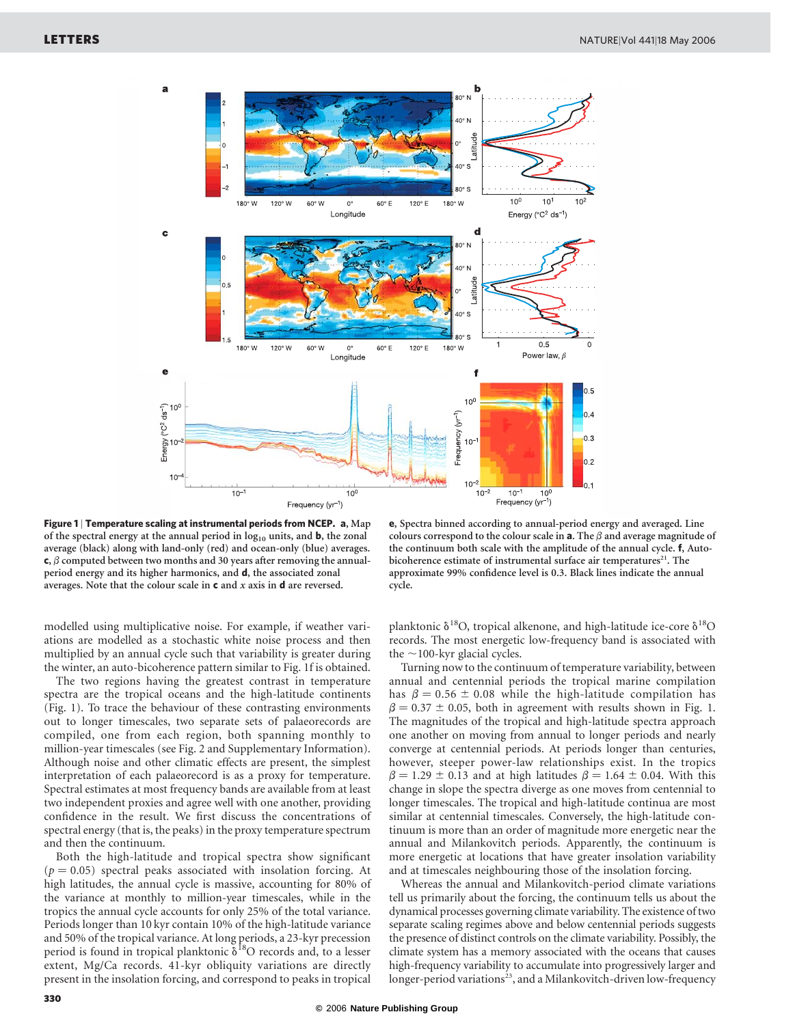

Figure 1 | Temperature scaling at instrumental periods from NCEP. a, Map of the spectral energy at the annual period in  $log_{10}$  units, and **b**, the zonal average (black) along with land-only (red) and ocean-only (blue) averages.  $\mathbf{c}, \beta$  computed between two months and 30 years after removing the annualperiod energy and its higher harmonics, and d, the associated zonal averages. Note that the colour scale in c and *x* axis in d are reversed.

e, Spectra binned according to annual-period energy and averaged. Line colours correspond to the colour scale in  $a$ . The  $\beta$  and average magnitude of the continuum both scale with the amplitude of the annual cycle. f, Autobicoherence estimate of instrumental surface air temperatures<sup>21</sup>. The approximate 99% confidence level is 0.3. Black lines indicate the annual cycle.

modelled using multiplicative noise. For example, if weather variations are modelled as a stochastic white noise process and then multiplied by an annual cycle such that variability is greater during the winter, an auto-bicoherence pattern similar to Fig. 1f is obtained.

The two regions having the greatest contrast in temperature spectra are the tropical oceans and the high-latitude continents (Fig. 1). To trace the behaviour of these contrasting environments out to longer timescales, two separate sets of palaeorecords are compiled, one from each region, both spanning monthly to million-year timescales (see Fig. 2 and Supplementary Information). Although noise and other climatic effects are present, the simplest interpretation of each palaeorecord is as a proxy for temperature. Spectral estimates at most frequency bands are available from at least two independent proxies and agree well with one another, providing confidence in the result. We first discuss the concentrations of spectral energy (that is, the peaks) in the proxy temperature spectrum and then the continuum.

Both the high-latitude and tropical spectra show significant  $(p = 0.05)$  spectral peaks associated with insolation forcing. At high latitudes, the annual cycle is massive, accounting for 80% of the variance at monthly to million-year timescales, while in the tropics the annual cycle accounts for only 25% of the total variance. Periods longer than 10 kyr contain 10% of the high-latitude variance and 50% of the tropical variance. At long periods, a 23-kyr precession period is found in tropical planktonic  $\delta^{18}O$  records and, to a lesser extent, Mg/Ca records. 41-kyr obliquity variations are directly present in the insolation forcing, and correspond to peaks in tropical

planktonic  $\delta^{18}O$ , tropical alkenone, and high-latitude ice-core  $\delta^{18}O$ records. The most energetic low-frequency band is associated with the  $\sim$ 100-kyr glacial cycles.

Turning now to the continuum of temperature variability, between annual and centennial periods the tropical marine compilation has  $\beta = 0.56 \pm 0.08$  while the high-latitude compilation has  $\beta = 0.37 \pm 0.05$ , both in agreement with results shown in Fig. 1. The magnitudes of the tropical and high-latitude spectra approach one another on moving from annual to longer periods and nearly converge at centennial periods. At periods longer than centuries, however, steeper power-law relationships exist. In the tropics  $\beta = 1.29 \pm 0.13$  and at high latitudes  $\beta = 1.64 \pm 0.04$ . With this change in slope the spectra diverge as one moves from centennial to longer timescales. The tropical and high-latitude continua are most similar at centennial timescales. Conversely, the high-latitude continuum is more than an order of magnitude more energetic near the annual and Milankovitch periods. Apparently, the continuum is more energetic at locations that have greater insolation variability and at timescales neighbouring those of the insolation forcing.

Whereas the annual and Milankovitch-period climate variations tell us primarily about the forcing, the continuum tells us about the dynamical processes governing climate variability. The existence of two separate scaling regimes above and below centennial periods suggests the presence of distinct controls on the climate variability. Possibly, the climate system has a memory associated with the oceans that causes high-frequency variability to accumulate into progressively larger and longer-period variations<sup>23</sup>, and a Milankovitch-driven low-frequency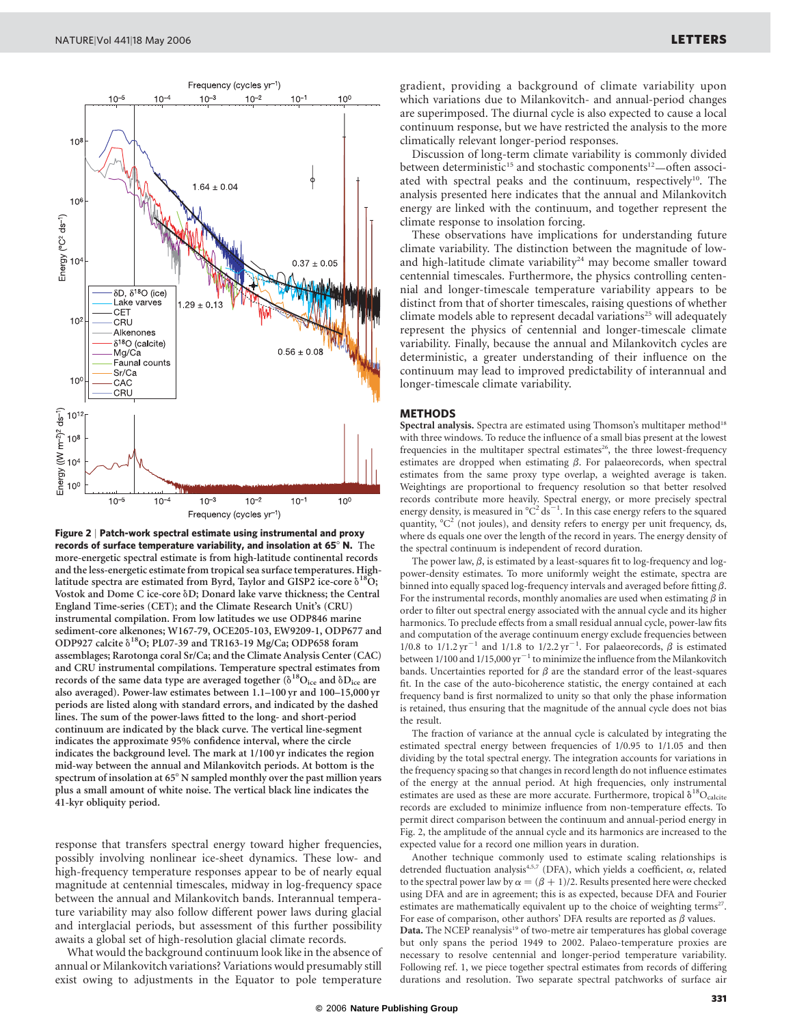

Figure 2 | Patch-work spectral estimate using instrumental and proxy records of surface temperature variability, and insolation at 65 $^{\circ}$  N. The more-energetic spectral estimate is from high-latitude continental records and the less-energetic estimate from tropical sea surface temperatures. Highlatitude spectra are estimated from Byrd, Taylor and GISP2 ice-core  $\delta^{18}O$ ; Vostok and Dome C ice-core  $\delta D$ ; Donard lake varve thickness; the Central England Time-series (CET); and the Climate Research Unit's (CRU) instrumental compilation. From low latitudes we use ODP846 marine sediment-core alkenones; W167-79, OCE205-103, EW9209-1, ODP677 and ODP927 calcite  $\delta^{18}$ O; PL07-39 and TR163-19 Mg/Ca; ODP658 foram assemblages; Rarotonga coral Sr/Ca; and the Climate Analysis Center (CAC) and CRU instrumental compilations. Temperature spectral estimates from records of the same data type are averaged together  $(\delta^{18}O_{\text{ice}}$  and  $\delta D_{\text{ice}}$  are also averaged). Power-law estimates between 1.1–100 yr and 100–15,000 yr periods are listed along with standard errors, and indicated by the dashed lines. The sum of the power-laws fitted to the long- and short-period continuum are indicated by the black curve. The vertical line-segment indicates the approximate 95% confidence interval, where the circle indicates the background level. The mark at 1/100 yr indicates the region mid-way between the annual and Milankovitch periods. At bottom is the spectrum of insolation at  $65^{\circ}$  N sampled monthly over the past million years plus a small amount of white noise. The vertical black line indicates the 41-kyr obliquity period.

response that transfers spectral energy toward higher frequencies, possibly involving nonlinear ice-sheet dynamics. These low- and high-frequency temperature responses appear to be of nearly equal magnitude at centennial timescales, midway in log-frequency space between the annual and Milankovitch bands. Interannual temperature variability may also follow different power laws during glacial and interglacial periods, but assessment of this further possibility awaits a global set of high-resolution glacial climate records.

What would the background continuum look like in the absence of annual or Milankovitch variations? Variations would presumably still exist owing to adjustments in the Equator to pole temperature

gradient, providing a background of climate variability upon which variations due to Milankovitch- and annual-period changes are superimposed. The diurnal cycle is also expected to cause a local continuum response, but we have restricted the analysis to the more climatically relevant longer-period responses.

Discussion of long-term climate variability is commonly divided between deterministic<sup>15</sup> and stochastic components<sup>12</sup>—often associated with spectral peaks and the continuum, respectively<sup>10</sup>. The analysis presented here indicates that the annual and Milankovitch energy are linked with the continuum, and together represent the climate response to insolation forcing.

These observations have implications for understanding future climate variability. The distinction between the magnitude of lowand high-latitude climate variability<sup>24</sup> may become smaller toward centennial timescales. Furthermore, the physics controlling centennial and longer-timescale temperature variability appears to be distinct from that of shorter timescales, raising questions of whether climate models able to represent decadal variations<sup>25</sup> will adequately represent the physics of centennial and longer-timescale climate variability. Finally, because the annual and Milankovitch cycles are deterministic, a greater understanding of their influence on the continuum may lead to improved predictability of interannual and longer-timescale climate variability.

## METHODS

Spectral analysis. Spectra are estimated using Thomson's multitaper method<sup>18</sup> with three windows. To reduce the influence of a small bias present at the lowest frequencies in the multitaper spectral estimates<sup>26</sup>, the three lowest-frequency estimates are dropped when estimating  $\beta$ . For palaeorecords, when spectral estimates from the same proxy type overlap, a weighted average is taken. Weightings are proportional to frequency resolution so that better resolved records contribute more heavily. Spectral energy, or more precisely spectral energy density, is measured in  $^{\circ}C^{2}$  ds<sup>-1</sup>. In this case energy refers to the squared quantity,  ${}^{\circ}C^2$  (not joules), and density refers to energy per unit frequency, ds, where ds equals one over the length of the record in years. The energy density of the spectral continuum is independent of record duration.

The power law,  $\beta$ , is estimated by a least-squares fit to log-frequency and logpower-density estimates. To more uniformly weight the estimate, spectra are binned into equally spaced log-frequency intervals and averaged before fitting  $\beta$ . For the instrumental records, monthly anomalies are used when estimating  $\beta$  in order to filter out spectral energy associated with the annual cycle and its higher harmonics. To preclude effects from a small residual annual cycle, power-law fits and computation of the average continuum energy exclude frequencies between 1/0.8 to  $1/1.2 \text{ yr}^{-1}$  and  $1/1.8$  to  $1/2.2 \text{ yr}^{-1}$ . For palaeorecords,  $\beta$  is estimated between 1/100 and  $1/15,000 \text{ yr}^{-1}$  to minimize the influence from the Milankovitch bands. Uncertainties reported for  $\beta$  are the standard error of the least-squares fit. In the case of the auto-bicoherence statistic, the energy contained at each frequency band is first normalized to unity so that only the phase information is retained, thus ensuring that the magnitude of the annual cycle does not bias the result.

The fraction of variance at the annual cycle is calculated by integrating the estimated spectral energy between frequencies of 1/0.95 to 1/1.05 and then dividing by the total spectral energy. The integration accounts for variations in the frequency spacing so that changes in record length do not influence estimates of the energy at the annual period. At high frequencies, only instrumental estimates are used as these are more accurate. Furthermore, tropical  $\delta^{18}O_{\text{calcite}}$ records are excluded to minimize influence from non-temperature effects. To permit direct comparison between the continuum and annual-period energy in Fig. 2, the amplitude of the annual cycle and its harmonics are increased to the expected value for a record one million years in duration.

Another technique commonly used to estimate scaling relationships is detrended fluctuation analysis<sup>4,5,7</sup> (DFA), which yields a coefficient,  $\alpha$ , related to the spectral power law by  $\alpha = (\beta + 1)/2$ . Results presented here were checked using DFA and are in agreement; this is as expected, because DFA and Fourier estimates are mathematically equivalent up to the choice of weighting terms<sup>27</sup>. For ease of comparison, other authors' DFA results are reported as  $\beta$  values.  $\mathbf{Data.}$  The NCEP reanalysis $^{19}$  of two-metre air temperatures has global coverage but only spans the period 1949 to 2002. Palaeo-temperature proxies are necessary to resolve centennial and longer-period temperature variability. Following ref. 1, we piece together spectral estimates from records of differing durations and resolution. Two separate spectral patchworks of surface air